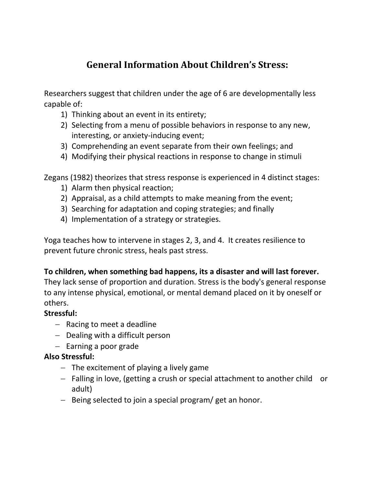# **General Information About Children's Stress:**

Researchers suggest that children under the age of 6 are developmentally less capable of:

- 1) Thinking about an event in its entirety;
- 2) Selecting from a menu of possible behaviors in response to any new, interesting, or anxiety-inducing event;
- 3) Comprehending an event separate from their own feelings; and
- 4) Modifying their physical reactions in response to change in stimuli

Zegans (1982) theorizes that stress response is experienced in 4 distinct stages:

- 1) Alarm then physical reaction;
- 2) Appraisal, as a child attempts to make meaning from the event;
- 3) Searching for adaptation and coping strategies; and finally
- 4) Implementation of a strategy or strategies.

Yoga teaches how to intervene in stages 2, 3, and 4. It creates resilience to prevent future chronic stress, heals past stress.

#### **To children, when something bad happens, its a disaster and will last forever.**

They lack sense of proportion and duration. Stress is the body's general response to any intense physical, emotional, or mental demand placed on it by oneself or others.

#### **Stressful:**

- Racing to meet a deadline
- $-$  Dealing with a difficult person
- $-$  Earning a poor grade

## **Also Stressful:**

- $-$  The excitement of playing a lively game
- Falling in love, (getting a crush or special attachment to another child or adult)
- $-$  Being selected to join a special program/ get an honor.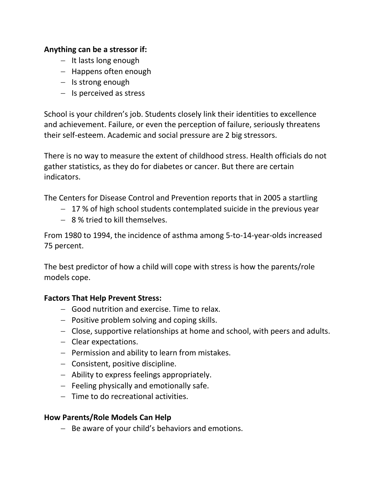#### **Anything can be a stressor if:**

- $-$  It lasts long enough
- Happens often enough
- $-$  Is strong enough
- $-$  Is perceived as stress

School is your children's job. Students closely link their identities to excellence and achievement. Failure, or even the perception of failure, seriously threatens their self-esteem. Academic and social pressure are 2 big stressors.

There is no way to measure the extent of childhood stress. Health officials do not gather statistics, as they do for diabetes or cancer. But there are certain indicators.

The Centers for Disease Control and Prevention reports that in 2005 a startling

- $-17$  % of high school students contemplated suicide in the previous year
- 8 % tried to kill themselves.

From 1980 to 1994, the incidence of asthma among 5-to-14-year-olds increased 75 percent.

The best predictor of how a child will cope with stress is how the parents/role models cope.

## **Factors That Help Prevent Stress:**

- Good nutrition and exercise. Time to relax.
- $-$  Positive problem solving and coping skills.
- Close, supportive relationships at home and school, with peers and adults.
- Clear expectations.
- $-$  Permission and ability to learn from mistakes.
- $-$  Consistent, positive discipline.
- Ability to express feelings appropriately.
- $-$  Feeling physically and emotionally safe.
- Time to do recreational activities.

## **How Parents/Role Models Can Help**

 $-$  Be aware of your child's behaviors and emotions.